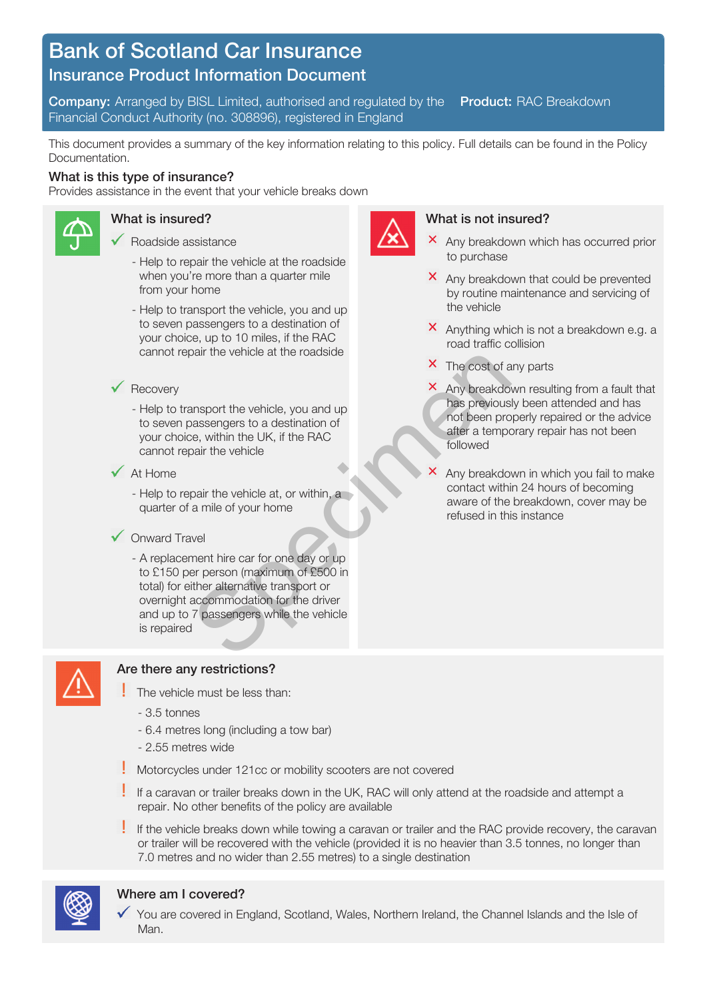# Bank of Scotland Car Insurance

## Insurance Product Information Document

 Financial Conduct Authority (no. 308896), registered in England **Company:** Arranged by BISL Limited, authorised and regulated by the **Product:** RAC Breakdown

 This document provides a summary of the key information relating to this policy. Full details can be found in the Policy Documentation.

#### What is this type of insurance?

Provides assistance in the event that your vehicle breaks down



#### What is insured?

- Roadside assistance
	- Help to repair the vehicle at the roadside when you're more than a quarter mile from your home
	- - Help to transport the vehicle, you and up your choice, up to 10 miles, if the RAC cannot repair the vehicle at the roadside to seven passengers to a destination of

#### Recovery

- - Help to transport the vehicle, you and up your choice, within the UK, if the RAC cannot repair the vehicle to seven passengers to a destination of
- At Home
	- - Help to repair the vehicle at, or within, a quarter of a mile of your home

#### Onward Travel

 - A replacement hire car for one day or up total) for either alternative transport or to £150 per person (maximum of £500 in overnight accommodation for the driver and up to 7 passengers while the vehicle is repaired X The cost of a<br>
ansport the vehicle, you and up<br>
assengers to a destination of<br>
been protice a previous<br>
care in the UK, if the RAC<br>
pair the vehicle at, or within, a<br>
a mile of your home<br>
wel<br>
wel<br>
ment hire car for one



### Are there any restrictions?

- The vehicle must be less than:
	- 3.5 tonnes
	- 6.4 metres long (including a tow bar)
	- 2.55 metres wide
- Motorcycles under 121cc or mobility scooters are not covered
- repair. No other benefits of the policy are available If a caravan or trailer breaks down in the UK, RAC will only attend at the roadside and attempt a
- If the vehicle breaks down while towing a caravan or trailer and the RAC provide recovery, the caravan or trailer will be recovered with the vehicle (provided it is no heavier than 3.5 tonnes, no longer than 7.0 metres and no wider than 2.55 metres) to a single destination



#### Where am I covered?

You are covered in England, Scotland, Wales, Northern Ireland, the Channel Islands and the Isle of Man.



#### What is not insured?

- Any breakdown which has occurred prior to purchase
- Any breakdown that could be prevented by routine maintenance and servicing of the vehicle
- Anything which is not a breakdown e.g. a road traffic collision
- The cost of any parts
- Any breakdown resulting from a fault that has previously been attended and has not been properly repaired or the advice after a temporary repair has not been followed
- contact within 24 hours of becoming aware of the breakdown, cover may be Any breakdown in which you fail to make refused in this instance